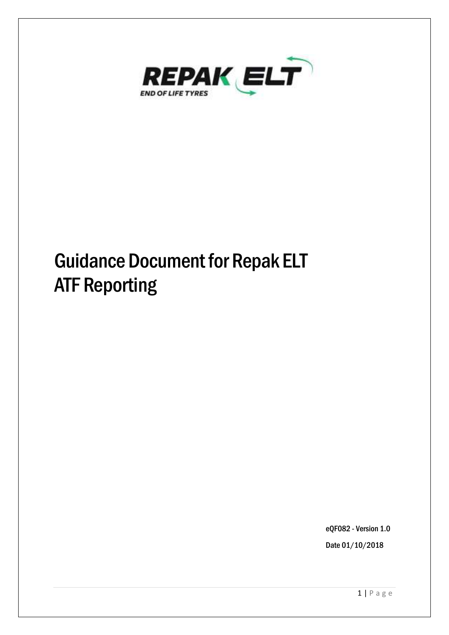

# Guidance Document for Repak ELT ATF Reporting

eQF082 - Version 1.0 Date 01/10/2018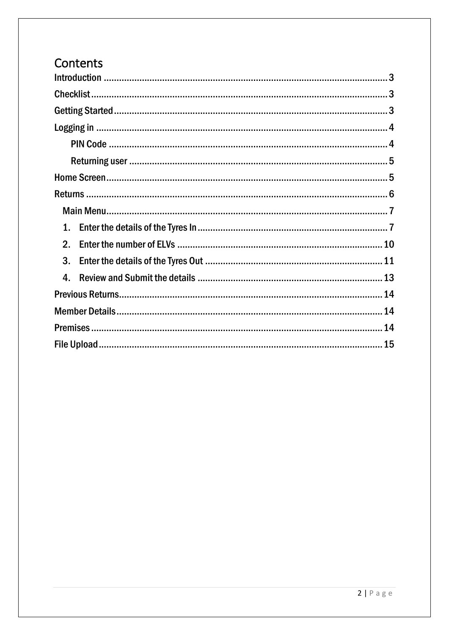# Contents

| 1.             |  |
|----------------|--|
| 2.             |  |
| 3.             |  |
| $\mathbf{4}$ . |  |
|                |  |
|                |  |
|                |  |
|                |  |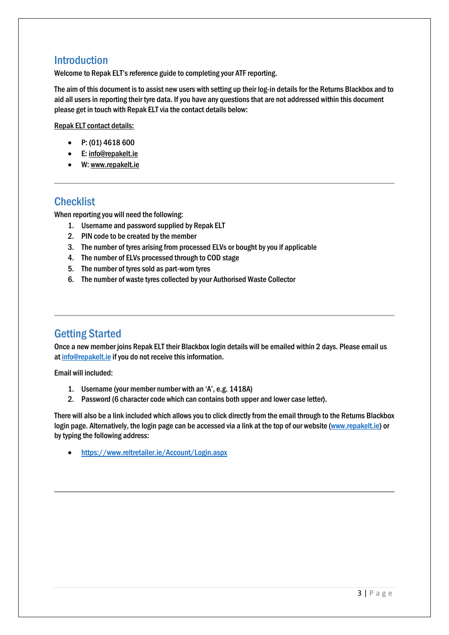#### <span id="page-2-0"></span>Introduction

Welcome to Repak ELT's reference guide to completing your ATF reporting.

The aim of this document is to assist new users with setting up their log-in details for the Returns Blackbox and to aid all users in reporting their tyre data. If you have any questions that are not addressed within this document please get in touch with Repak ELT via the contact details below:

Repak ELT contact details:

- P: (01) 4618 600
- E[: info@repakelt.ie](mailto:info@repakelt.ie)
- W[: www.repakelt.ie](http://www.repakelt.ie/)

#### <span id="page-2-1"></span>**Checklist**

When reporting you will need the following:

- 1. Username and password supplied by Repak ELT
- 2. PIN code to be created by the member
- 3. The number of tyres arising from processed ELVs or bought by you if applicable
- 4. The number of ELVs processed through to COD stage
- 5. The number of tyres sold as part-worn tyres
- 6. The number of waste tyres collected by your Authorised Waste Collector

## <span id="page-2-2"></span>Getting Started

Once a new member joins Repak ELT their Blackbox login details will be emailed within 2 days. Please email us a[t info@repakelt.ie](mailto:info@repakelt.ie) if you do not receive this information.

Email will included:

- 1. Username (your member number with an 'A', e.g. 1418A)
- 2. Password (6 character code which can contains both upper and lower case letter).

There will also be a link included which allows you to click directly from the email through to the Returns Blackbox login page. Alternatively, the login page can be accessed via a link at the top of our website [\(www.repakelt.ie\)](http://www.repakelt.ie/) or by typing the following address:

<https://www.reltretailer.ie/Account/Login.aspx>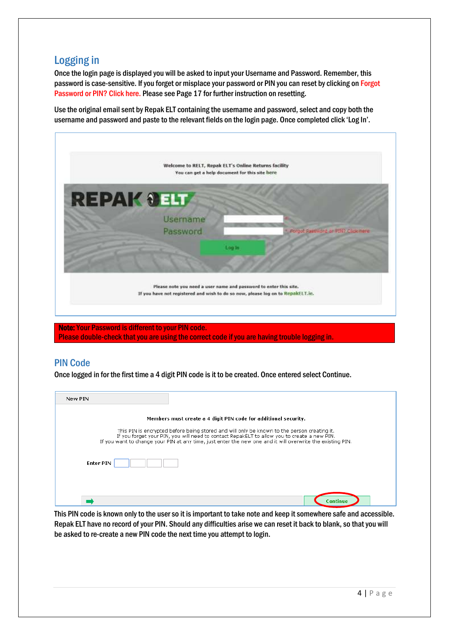## <span id="page-3-0"></span>Logging in

Once the login page is displayed you will be asked to input your Username and Password. Remember, this password is case-sensitive. If you forget or misplace your password or PIN you can reset by clicking on Forgot Password or PIN? Click here. Please see Page 17 for further instruction on resetting.

Use the original email sent by Repak ELT containing the username and password, select and copy both the username and password and paste to the relevant fields on the login page. Once completed click 'Log In'.



Please double-check that you are using the correct code if you are having trouble logging in.

#### <span id="page-3-1"></span>PIN Code

Once logged in for the first time a 4 digit PIN code is it to be created. Once entered select Continue.

| New PIN          |                                                                                                                                                                                                                                                                                                          |
|------------------|----------------------------------------------------------------------------------------------------------------------------------------------------------------------------------------------------------------------------------------------------------------------------------------------------------|
|                  | Members must create a 4 digit PIN code for additional security.                                                                                                                                                                                                                                          |
|                  | This PIN is encrypted before being stored and will only be known to the person creating it.<br>If you forget your PIN, you will need to contact RepakELT to allow you to create a new PIN.<br>If you want to change your PIN at any time, just enter the new one and it will overwrite the existing PIN. |
| <b>Enter PIN</b> |                                                                                                                                                                                                                                                                                                          |
|                  |                                                                                                                                                                                                                                                                                                          |
|                  | Continue                                                                                                                                                                                                                                                                                                 |

This PIN code is known only to the user so it is important to take note and keep it somewhere safe and accessible. Repak ELT have no record of your PIN. Should any difficulties arise we can reset it back to blank, so that you will be asked to re-create a new PIN code the next time you attempt to login.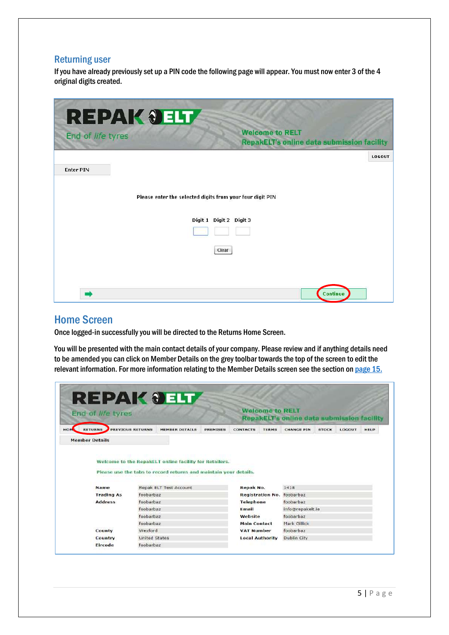#### <span id="page-4-0"></span>Returning user

If you have already previously set up a PIN code the following page will appear. You must now enter 3 of the 4 original digits created.

| End of life tyres | <b>REPAK JELT</b><br><b>Welcome to RELT</b><br><b>RepakELT's online data submission facility</b> |        |
|-------------------|--------------------------------------------------------------------------------------------------|--------|
|                   |                                                                                                  | LOGOUT |
| <b>Enter PIN</b>  |                                                                                                  |        |
|                   | Please enter the selected digits from your four digit PIN                                        |        |
|                   | Digit 1 Digit 2 Digit 3                                                                          |        |
|                   |                                                                                                  |        |
|                   | Clear                                                                                            |        |
|                   |                                                                                                  |        |
|                   | Continue                                                                                         |        |

#### <span id="page-4-1"></span>Home Screen

Once logged-in successfully you will be directed to the Returns Home Screen.

You will be presented with the main contact details of your company. Please review and if anything details need to be amended you can click on Member Details on the grey toolbar towards the top of the screen to edit the relevant information. For more information relating to the Member Details screen see the section on [page 15.](#page-13-1)

| End of life tyres      |                         |                                                                                                                            |          |                     | <b>Welcome to RELT</b>  | <b>RepakELT's online data submission facility</b> |              |        |             |
|------------------------|-------------------------|----------------------------------------------------------------------------------------------------------------------------|----------|---------------------|-------------------------|---------------------------------------------------|--------------|--------|-------------|
| HOME<br><b>RETURNS</b> | <b>PREVIOUS RETURNS</b> | MEMBER DETAILS                                                                                                             | PREMISES | <b>CONTACTS</b>     | <b>TERMS</b>            | <b>CHANGE PIN</b>                                 | <b>STOCK</b> | LOGOUT | <b>HELP</b> |
| <b>Member Details</b>  |                         |                                                                                                                            |          |                     |                         |                                                   |              |        |             |
|                        |                         | Welcome to the RepakELT online facility for Retailers.<br>Please use the tabs to record returns and maintain your details. |          |                     |                         |                                                   |              |        |             |
| Name                   |                         | Repak ELT Test Account                                                                                                     |          | Repak No.           |                         | 1418                                              |              |        |             |
| <b>Trading As</b>      | foobarbaz               |                                                                                                                            |          |                     | <b>Registration No.</b> | foobarbaz                                         |              |        |             |
| <b>Address</b>         | foobarbaz               |                                                                                                                            |          | <b>Telephone</b>    |                         | foobarbaz                                         |              |        |             |
|                        | foobarbaz               |                                                                                                                            |          | Email               |                         | info@repakelt.ie                                  |              |        |             |
|                        | foobarbaz               |                                                                                                                            |          | Website             |                         | foobarbaz                                         |              |        |             |
| County                 | foobarbaz               |                                                                                                                            |          | <b>Main Contact</b> |                         | Mark Gillick                                      |              |        |             |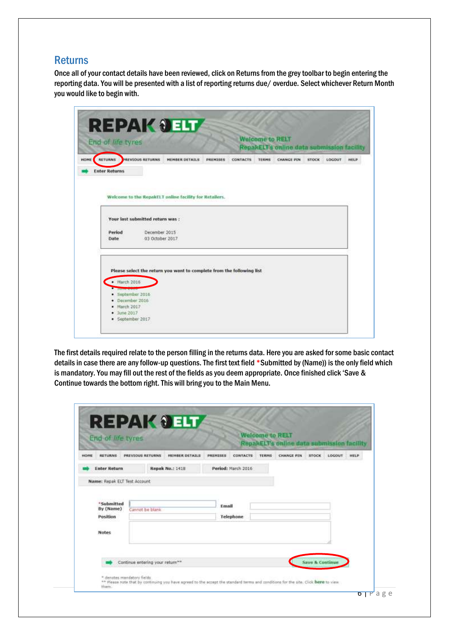#### <span id="page-5-0"></span>**Returns**

Once all of your contact details have been reviewed, click on Returns from the grey toolbar to begin entering the reporting data. You will be presented with a list of reporting returns due/ overdue. Select whichever Return Month you would like to begin with.

| RETURNS PREVIOUS RETURNS             |                                 | <b>HEMBER DETAILS</b>                                                 | PREMISES | <b>CONTACTS</b> | <b>TERMS</b> | RepakELT's online data submission facility<br><b>CHANGE PIN</b> | <b>STOCK</b> | LOCOUT |
|--------------------------------------|---------------------------------|-----------------------------------------------------------------------|----------|-----------------|--------------|-----------------------------------------------------------------|--------------|--------|
| <b>Enter Returns</b>                 |                                 |                                                                       |          |                 |              |                                                                 |              |        |
|                                      |                                 |                                                                       |          |                 |              |                                                                 |              |        |
|                                      |                                 |                                                                       |          |                 |              |                                                                 |              |        |
|                                      |                                 | Welcome to the RepakELT unline facility for Retailers.                |          |                 |              |                                                                 |              |        |
|                                      |                                 |                                                                       |          |                 |              |                                                                 |              |        |
|                                      | Your last submitted return was: |                                                                       |          |                 |              |                                                                 |              |        |
| Period                               | December 2015                   |                                                                       |          |                 |              |                                                                 |              |        |
| Date.                                | 03 October 2017                 |                                                                       |          |                 |              |                                                                 |              |        |
|                                      |                                 |                                                                       |          |                 |              |                                                                 |              |        |
|                                      |                                 |                                                                       |          |                 |              |                                                                 |              |        |
|                                      |                                 | Please select the return you want to complete from the following list |          |                 |              |                                                                 |              |        |
|                                      |                                 |                                                                       |          |                 |              |                                                                 |              |        |
| $+$ March 2016                       |                                 |                                                                       |          |                 |              |                                                                 |              |        |
|                                      |                                 |                                                                       |          |                 |              |                                                                 |              |        |
| <b>Statement</b><br>· September 2016 |                                 |                                                                       |          |                 |              |                                                                 |              |        |

The first details required relate to the person filling in the returns data. Here you are asked for some basic contact details in case there are any follow-up questions. The first text field \*Submitted by (Name)) is the only field which is mandatory. You may fill out the rest of the fields as you deem appropriate. Once finished click 'Save & Continue towards the bottom right. This will bring you to the Main Menu.

|              | End of life tyres            |                  |                       |          |                    | <b>Welcome to RELT</b> | <b>RepakELT's online data submission facility</b> |              |        |      |
|--------------|------------------------------|------------------|-----------------------|----------|--------------------|------------------------|---------------------------------------------------|--------------|--------|------|
| <b>HOFIE</b> | <b>RETURNS</b>               | PREVIOUS RETURNS | <b>HEMBER DETAILS</b> | PREMISES | <b>CONTACTS</b>    | <b>TERMS</b>           | <b>CHANGE PIN</b>                                 | <b>STOCK</b> | LOGOUT | HELP |
|              | <b>Enter Return</b>          |                  | Repak No.: 1418       |          | Period: March 2016 |                        |                                                   |              |        |      |
|              | Name: Repak ELT Test Account |                  |                       |          |                    |                        |                                                   |              |        |      |
|              | By (Name)<br>Position        | Cannot be blank  |                       | Email    | Telephone          |                        |                                                   |              |        |      |
|              | Notes                        |                  |                       |          |                    |                        |                                                   |              |        |      |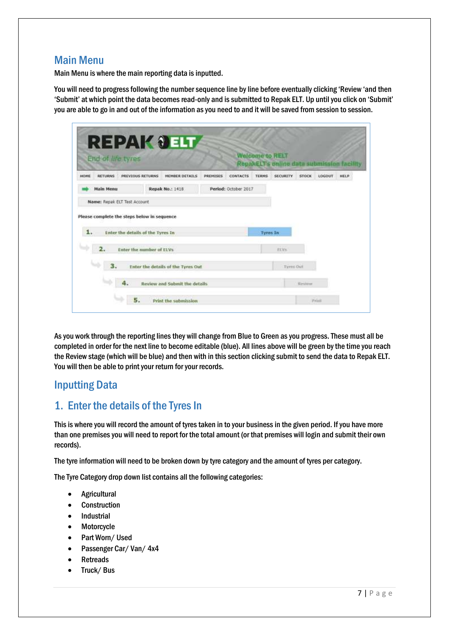#### <span id="page-6-0"></span>Main Menu

Main Menu is where the main reporting data is inputted.

You will need to progress following the number sequence line by line before eventually clicking 'Review 'and then 'Submit' at which point the data becomes read-only and is submitted to Repak ELT. Up until you click on 'Submit' you are able to go in and out of the information as you need to and it will be saved from session to session.

|             |                  | End of life tyres                                                                |                                    |          |                      | <b>Welcome to RELT</b> | RepakELT's online data submission facility |              |        |             |
|-------------|------------------|----------------------------------------------------------------------------------|------------------------------------|----------|----------------------|------------------------|--------------------------------------------|--------------|--------|-------------|
| <b>HOHE</b> | <b>RETURNS</b>   | PREVIOUS RETURNS                                                                 | <b>HEHBER DETAILS</b>              | PREMISES | <b>CONTACTS</b>      | <b>TERNS</b>           | <b>SECURITY</b>                            | <b>STOCH</b> | LOGOUT | <b>HELP</b> |
|             | <b>Main Menu</b> |                                                                                  | <b>Repak No.: 1418</b>             |          | Period: October 2017 |                        |                                            |              |        |             |
|             |                  | Name: Repak ELT Test Account                                                     |                                    |          |                      |                        |                                            |              |        |             |
|             |                  | Please complete the steps below in sequence<br>Enter the details of the Tyres In |                                    |          |                      | <b>Tyres In</b>        |                                            |              |        |             |
|             |                  |                                                                                  |                                    |          |                      |                        |                                            |              |        |             |
| 1.          |                  |                                                                                  |                                    |          |                      |                        |                                            |              |        |             |
|             | 2.               | Enter the number of ELVs                                                         |                                    |          |                      |                        | <b>RXVs</b>                                |              |        |             |
|             | 3.               |                                                                                  | Enter the details of the Tyres Out |          |                      |                        | Tyres Out                                  |              |        |             |

As you work through the reporting lines they will change from Blue to Green as you progress. These must all be completed in order for the next line to become editable (blue). All lines above will be green by the time you reach the Review stage (which will be blue) and then with in this section clicking submit to send the data to Repak ELT. You will then be able to print your return for your records.

## Inputting Data

## <span id="page-6-1"></span>1. Enter the details of the Tyres In

This is where you will record the amount of tyres taken in to your business in the given period. If you have more than one premises you will need to report for the total amount (or that premises will login and submit their own records).

The tyre information will need to be broken down by tyre category and the amount of tyres per category.

The Tyre Category drop down list contains all the following categories:

- Agricultural
- Construction
- Industrial
- Motorcycle
- Part Worn/Used
- Passenger Car/ Van/ 4x4
- Retreads
- Truck/Bus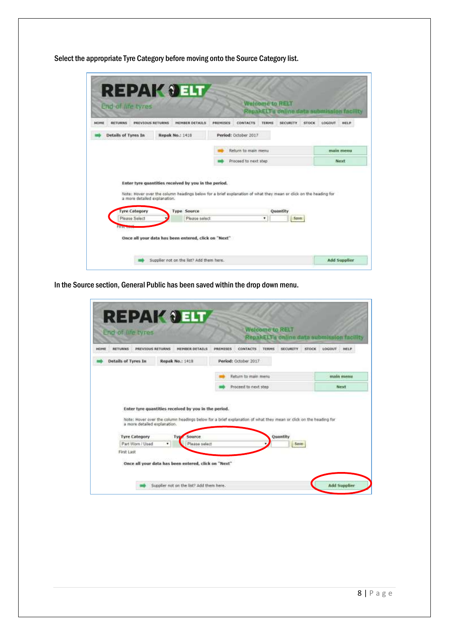Select the appropriate Tyre Category before moving onto the Source Category list.

| <b>MOMS</b> | <b>RETURNS</b>               | <b>PREVIOUS RETURNS</b>                                                                                          | <b>MEMBER DETAILS</b> | <b>PREMISES</b> | CONTACTS             | TERMS | <b>SECURITY</b> | STOCK | LOCOUT<br>HELP |
|-------------|------------------------------|------------------------------------------------------------------------------------------------------------------|-----------------------|-----------------|----------------------|-------|-----------------|-------|----------------|
|             | Details of Tyres In          | Repak No.: 1418                                                                                                  |                       |                 | Period: October 2017 |       |                 |       |                |
|             |                              |                                                                                                                  |                       |                 | Return to main menu  |       |                 |       | main menu      |
|             |                              |                                                                                                                  |                       |                 | Proceed to next step |       |                 |       | <b>Next</b>    |
|             |                              | Enter tyre quantities received by you in the period.                                                             |                       |                 |                      |       |                 |       |                |
|             | a more detailed explanation. | Note: Hover over the column headings below for a brief explanation of what they mean or click on the heading for |                       |                 |                      |       |                 |       |                |
|             | <b>Tyre Category</b>         |                                                                                                                  | <b>Type Source</b>    |                 |                      |       | Quantity        |       |                |

In the Source section, General Public has been saved within the drop down menu.

| <b>RETURNS</b>                           | <b>PRÉVIOUS RETURNS</b>      | <b>HEHBER DETAILS</b><br>PREMISES                                                                                | CONTACTS             | RepartELTs online data submission facility<br><b>SECURITY</b><br>TERMS | <b>STOCK</b> | LOCOUT<br><b>HELP</b> |
|------------------------------------------|------------------------------|------------------------------------------------------------------------------------------------------------------|----------------------|------------------------------------------------------------------------|--------------|-----------------------|
| <b>Details of Tyres In</b>               | Repak No.: 1418              |                                                                                                                  | Period: October 2017 |                                                                        |              |                       |
|                                          |                              |                                                                                                                  | Return to main menu  |                                                                        |              | main menu             |
|                                          |                              |                                                                                                                  |                      |                                                                        |              |                       |
|                                          |                              | Enter tyre quantities received by you in the period.                                                             | Proceed to next step |                                                                        |              | <b>Next</b>           |
|                                          | a more detailed explanation. | Note: Hover over the column headings below for a brief explanation of what they mean or click on the heading for |                      |                                                                        |              |                       |
| <b>Tyre Category</b><br>Part Worn / Used | TVD<br>$\dddot{\bullet}$     | Source<br>Please select                                                                                          |                      | Quantity<br>Sayo                                                       |              |                       |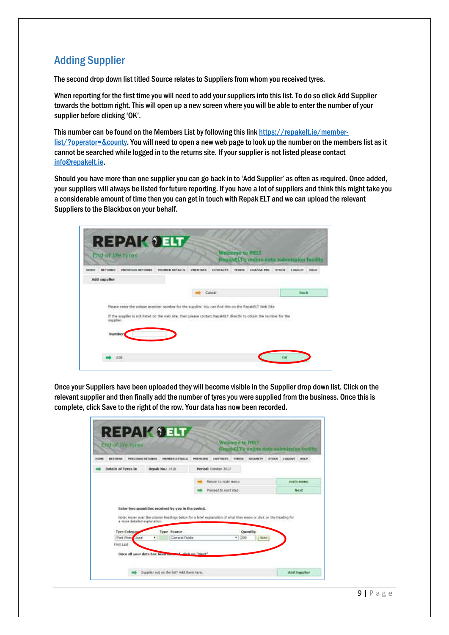## Adding Supplier

The second drop down list titled Source relates to Suppliers from whom you received tyres.

When reporting for the first time you will need to add your suppliers into this list. To do so click Add Supplier towards the bottom right. This will open up a new screen where you will be able to enter the number of your supplier before clicking 'OK'.

This number can be found on the Members List by following this lin[k https://repakelt.ie/member](https://repakelt.ie/member-list/?operator=&county)[list/?operator=&county.](https://repakelt.ie/member-list/?operator=&county) You will need to open a new web page to look up the number on the members list as it cannot be searched while logged in to the returns site. If your supplier is not listed please contact [info@repakelt.ie.](mailto:info@repakelt.ie)

Should you have more than one supplier you can go back in to 'Add Supplier' as often as required. Once added, your suppliers will always be listed for future reporting. If you have a lot of suppliers and think this might take you a considerable amount of time then you can get in touch with Repak ELT and we can upload the relevant Suppliers to the Blackbox on your behalf.

| <b><i>BETURNS</i></b> | PREVIOUS RETURNS | <b>HENBER DETAILS</b> | <b>CONTACTS</b><br><b>ANENISES</b> | <b>TERRIS</b><br><b>CHANGE PIN</b> | <b>STOCK</b><br>LOCOUT<br>HIGLP                                                                                                                                                                                         |
|-----------------------|------------------|-----------------------|------------------------------------|------------------------------------|-------------------------------------------------------------------------------------------------------------------------------------------------------------------------------------------------------------------------|
| Add supplier          |                  |                       |                                    |                                    |                                                                                                                                                                                                                         |
|                       |                  |                       | Cancel                             |                                    | <b>Hock</b>                                                                                                                                                                                                             |
|                       |                  |                       |                                    |                                    |                                                                                                                                                                                                                         |
|                       |                  |                       |                                    |                                    |                                                                                                                                                                                                                         |
|                       |                  |                       |                                    |                                    |                                                                                                                                                                                                                         |
|                       |                  |                       |                                    |                                    |                                                                                                                                                                                                                         |
|                       |                  | supplier.<br>Number   |                                    |                                    | Please enter the unique member number for the supplier, You can find this on the RepakELT Web Site<br>If the supplier is not listed on the web site, then please contact RepaktLT directly to obtain the number for the |

Once your Suppliers have been uploaded they will become visible in the Supplier drop down list. Click on the relevant supplier and then finally add the number of tyres you were supplied from the business. Once this is complete, click Save to the right of the row. Your data has now been recorded.

|                     | <b>PREVIOUS RETURNS</b>      | <b>CHARGE DETAILS</b> | PERFICIEN<br><b>SECURITY</b><br>CONTACTS<br><b>TEACHES</b>                                                      | LOGICALT<br><b>HELP</b><br><b>NTOCH</b> |
|---------------------|------------------------------|-----------------------|-----------------------------------------------------------------------------------------------------------------|-----------------------------------------|
| Details of Tyres In |                              | Repak No.: 1418       | Period: October 2017                                                                                            |                                         |
|                     |                              |                       | Return to realn menu                                                                                            | main memu                               |
|                     |                              |                       | Proceed to next step                                                                                            | Noist                                   |
|                     | a more detailed explanation. |                       | Note: Hover over the column headings below for a brief explanation of what they mean or dick on the heading far |                                         |
| <b>Tyre Categog</b> |                              | <b>Type Source</b>    | Quantity                                                                                                        |                                         |
|                     |                              |                       | General Public<br>200<br>$\cdot$ .                                                                              | Sans.                                   |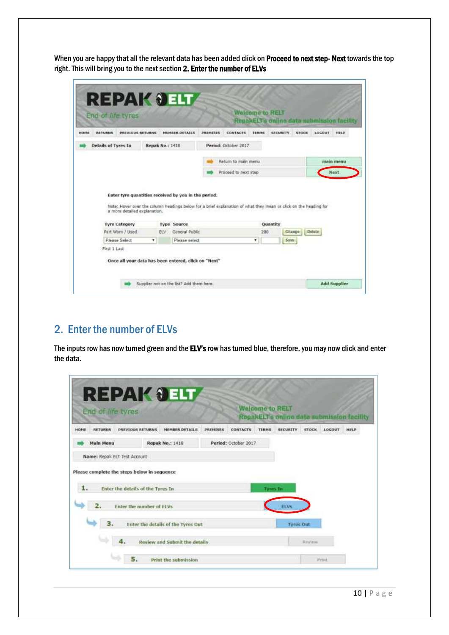When you are happy that all the relevant data has been added click on Proceed to next step- Next towards the top right. This will bring you to the next section 2. Enter the number of ELVs

| RETURNS             | PREVIOUS RETURNS                  |                  | <b>HEMBER DETAILS</b>                                                                                            | <b>DREMINES</b> | CONTACTS             | <b>TERRIS</b> | <b>SECURITY</b> | <b>STOCK</b>          | RepakELT's online data submission facility<br>LOGUUT<br><b>HELP</b> |
|---------------------|-----------------------------------|------------------|------------------------------------------------------------------------------------------------------------------|-----------------|----------------------|---------------|-----------------|-----------------------|---------------------------------------------------------------------|
| Details of Tyres In |                                   | Repak No.: 1418  |                                                                                                                  |                 | Period: October 2017 |               |                 |                       |                                                                     |
|                     |                                   |                  |                                                                                                                  |                 | Return to main menu  |               |                 |                       | main menu                                                           |
|                     |                                   |                  |                                                                                                                  |                 |                      |               |                 |                       |                                                                     |
|                     |                                   |                  | Enter tyre quantities received by you in the period.                                                             |                 | Proceed to next step |               |                 |                       | Next.                                                               |
|                     | a more detailed explanation.      |                  | Note: Hover over the column headings below for a brief explanation of what they mean or click on the heading for |                 |                      |               |                 |                       |                                                                     |
|                     | <b>Tyre Category</b>              |                  | <b>Type Source</b>                                                                                               |                 |                      |               | Quantity        |                       |                                                                     |
|                     | Part Worn / Used<br>Please Select | <b>ELV</b><br>۲. | General Public<br>Please select                                                                                  |                 |                      | 200<br>٠      |                 | Change<br><b>Savu</b> | Defete                                                              |

## <span id="page-9-0"></span>2. Enter the number of ELVs

The inputs row has now turned green and the ELV's row has turned blue, therefore, you may now click and enter the data.

|                        | End of life tyres                           |                                    |                        |                      | <b>Walcome to RELT</b> | RepakELT's online data submission facility |              |               |             |
|------------------------|---------------------------------------------|------------------------------------|------------------------|----------------------|------------------------|--------------------------------------------|--------------|---------------|-------------|
| <b>RETURNS</b><br>HONE | <b>PREVIOUS RETURNS</b>                     | <b>MEMBER DETAILS</b>              | <b><i>DRENTSES</i></b> | CONTACTS             | <b>TERMS</b>           | <b>SECURITY</b>                            | <b>STOCK</b> | <b>LOCOUT</b> | <b>HELP</b> |
| <b>Main Menu</b>       |                                             | <b>Repak No.: 1418</b>             |                        | Period: October 2017 |                        |                                            |              |               |             |
|                        | Name: Repak ELT Test Account                |                                    |                        |                      |                        |                                            |              |               |             |
|                        | Please complete the steps below in sequence |                                    |                        |                      |                        |                                            |              |               |             |
|                        | Enter the details of the Tyres In           |                                    |                        |                      | <b>Tyres In</b>        |                                            |              |               |             |
| 1.<br>2.               | Enter the number of ELVs                    |                                    |                        |                      |                        | ELVS                                       |              |               |             |
| 3.                     |                                             | Enter the details of the Tyres Out |                        |                      |                        | <b>Tyres Out</b>                           |              |               |             |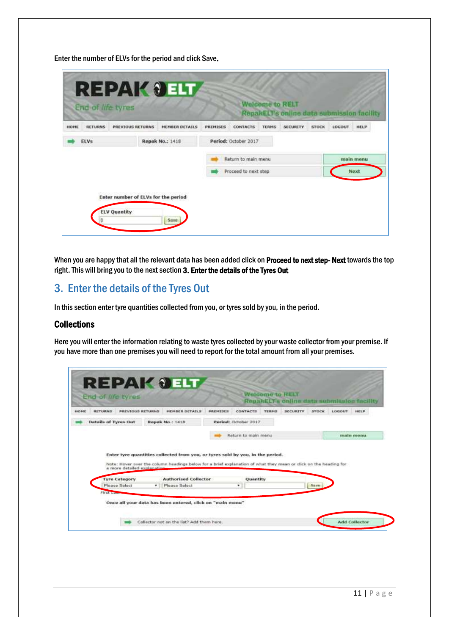Enter the number of ELVs for the period and click Save.

| <b>RETURNS</b><br><b>SEQPIE</b> | <b>PREVIOUS RETURNS</b> | MEMBER DETAILS  | <b>PREMISES</b> | <b>CONTACTS</b>      | <b>TERMS</b> | <b>SECURITY</b> | <b>STOCK</b> | <b>LOGOUT</b> | <b>HELP</b> |
|---------------------------------|-------------------------|-----------------|-----------------|----------------------|--------------|-----------------|--------------|---------------|-------------|
| <b>ELVs</b>                     |                         | Repak No.: 1418 |                 | Period: October 2017 |              |                 |              |               |             |
|                                 |                         |                 |                 | Return to main menu  |              |                 |              |               | main menu   |
|                                 |                         |                 |                 | Proceed to next step |              |                 |              |               | Next        |

When you are happy that all the relevant data has been added click on Proceed to next step- Next towards the top right. This will bring you to the next section 3. Enter the details of the Tyres Out

## <span id="page-10-0"></span>3. Enter the details of the Tyres Out

In this section enter tyre quantities collected from you, or tyres sold by you, in the period.

#### **Collections**

Here you will enter the information relating to waste tyres collected by your waste collector from your premise. If you have more than one premises you will need to report for the total amount from all your premises.

|             | End of life tyres    |                             |                                                                                                                  |          |                      | <b>Walcome to RELT</b> | RepartELT's online data submission facility |              |               |             |
|-------------|----------------------|-----------------------------|------------------------------------------------------------------------------------------------------------------|----------|----------------------|------------------------|---------------------------------------------|--------------|---------------|-------------|
| <b>HOME</b> | <b>RETURNS</b>       | <b>PREVIOUS RETURNS</b>     | <b>HEHBER DETAILS</b>                                                                                            | PREMISES | <b>CONTACTS</b>      | <b>TERNS</b>           | <b>SECURITY</b>                             | <b>STOCK</b> | <b>LOCOUT</b> | <b>HELP</b> |
|             | Details of Tyres Out |                             | <b>Repak No.: 1418</b>                                                                                           |          | Period: October 2017 |                        |                                             |              |               |             |
|             |                      |                             |                                                                                                                  |          |                      |                        |                                             |              |               |             |
|             |                      |                             | Enter tyre quantities collected from you, or tyres sold by you, in the period.                                   |          | Return to main menu  |                        |                                             |              |               | main menu.  |
|             |                      | a more detailed explanation | Note: Hover over the column headings below for a brief explanation of what they mean or click on the heading for |          |                      |                        |                                             |              |               |             |
|             | <b>Tyre Category</b> |                             | <b>Authorised Collector</b>                                                                                      |          | Quantity             |                        |                                             |              |               |             |
|             | Please Select        |                             | Please Select<br>٠                                                                                               |          | ٠                    |                        |                                             | <b>Save:</b> |               |             |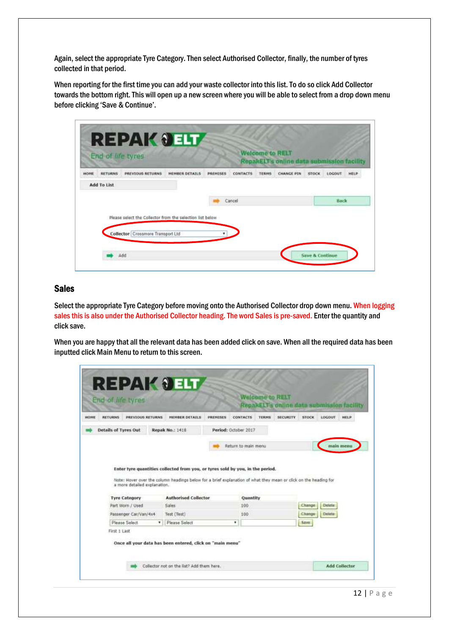Again, select the appropriate Tyre Category. Then select Authorised Collector, finally, the number of tyres collected in that period.

When reporting for the first time you can add your waste collector into this list. To do so click Add Collector towards the bottom right. This will open up a new screen where you will be able to select from a drop down menu before clicking 'Save & Continue'.

|             |                | End of life tyres                                         |                       |          |          | <b>Welcome to RELT</b> | RepairELT's online data submission facility |              |        |      |
|-------------|----------------|-----------------------------------------------------------|-----------------------|----------|----------|------------------------|---------------------------------------------|--------------|--------|------|
| HOME        | <b>RETURNS</b> | <b>PREVIOUS RETURNS</b>                                   | <b>HENBER DETAILS</b> | PREMISES | CONTACTS | <b>TERMS</b>           | <b>CHANGE PTN</b>                           | <b>STOCK</b> | LOCOUT | HELP |
| Add To List |                |                                                           |                       |          |          |                        |                                             |              |        |      |
|             |                |                                                           |                       |          | Cancel   |                        |                                             |              | Back   |      |
|             |                |                                                           |                       |          |          |                        |                                             |              |        |      |
|             |                | Please select the Collector from the selection list below |                       |          |          |                        |                                             |              |        |      |
|             |                | Collector Crossmore Transport Ltd                         |                       |          |          |                        |                                             |              |        |      |

#### Sales

Select the appropriate Tyre Category before moving onto the Authorised Collector drop down menu. When logging sales this is also under the Authorised Collector heading. The word Sales is pre-saved. Enter the quantity and click save.

When you are happy that all the relevant data has been added click on save. When all the required data has been inputted click Main Menu to return to this screen.

| <b>Details of Tyres Out</b><br>Repak No.: 1418<br>Period: October 2017<br>Return to main menu<br>Enter tyre quantities collected from you, or tyres sold by you, in the period. | main menu        |     |                      |  |
|---------------------------------------------------------------------------------------------------------------------------------------------------------------------------------|------------------|-----|----------------------|--|
|                                                                                                                                                                                 |                  |     |                      |  |
|                                                                                                                                                                                 |                  |     |                      |  |
|                                                                                                                                                                                 |                  |     |                      |  |
|                                                                                                                                                                                 |                  |     |                      |  |
|                                                                                                                                                                                 |                  |     |                      |  |
|                                                                                                                                                                                 |                  |     |                      |  |
| Note: Hover over the column headings below for a brief explanation of what they mean or click on the heading for                                                                |                  |     |                      |  |
| a more detailed explanation.                                                                                                                                                    |                  |     |                      |  |
|                                                                                                                                                                                 |                  |     |                      |  |
| <b>Authorised Collector</b><br>Quantity<br><b>Tyre Category</b>                                                                                                                 |                  |     |                      |  |
| Part Worn / Used<br>Sales<br>100                                                                                                                                                | Delete<br>Change |     |                      |  |
|                                                                                                                                                                                 | Delote<br>Change | 100 | Test (Test)          |  |
| Passenger Car/Van/4x4                                                                                                                                                           | Save.            | ٠   | <b>Please Select</b> |  |
| Please Select                                                                                                                                                                   |                  |     |                      |  |
| First 1 Last                                                                                                                                                                    |                  |     |                      |  |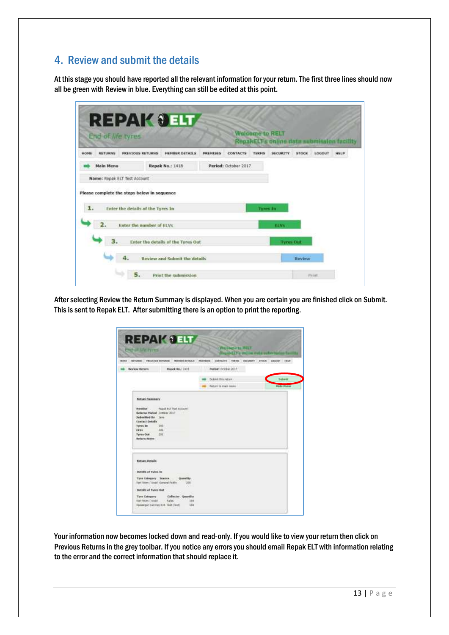## <span id="page-12-0"></span>4. Review and submit the details

At this stage you should have reported all the relevant information for your return. The first three lines should now all be green with Review in blue. Everything can still be edited at this point.

| End of life tyres                           |                                                  |          |                                 | <b>Walcome to RELT</b><br>RepakELT's online data submission facility |                  |        |      |
|---------------------------------------------|--------------------------------------------------|----------|---------------------------------|----------------------------------------------------------------------|------------------|--------|------|
| HOME<br><b>RETURNS</b>                      | <b>PREVIOUS RETURNS</b><br><b>HEHBER OFTAILS</b> | PREMISES | <b>CONTACTS</b><br><b>TERHS</b> | <b>SECURITY</b>                                                      | <b>STOCH</b>     | LOCOUT | HELP |
| <b>Main Menu</b>                            | Repak No.: 1418                                  |          | Period: October 2017            |                                                                      |                  |        |      |
| Name: Repak ELT Test Account                |                                                  |          |                                 |                                                                      |                  |        |      |
| Please complete the steps below in sequence |                                                  |          |                                 |                                                                      |                  |        |      |
| 1.                                          | Enter the details of the Tyres In                |          |                                 | Tyres In                                                             |                  |        |      |
| 2.                                          | Enter the number of ELVs.                        |          |                                 | ELVN.                                                                |                  |        |      |
| 3.                                          | Enter the details of the Tyres Out               |          |                                 |                                                                      | <b>Tyres Out</b> |        |      |
|                                             |                                                  |          |                                 |                                                                      |                  |        |      |

After selecting Review the Return Summary is displayed. When you are certain you are finished click on Submit. This is sent to Repak ELT. After submitting there is an option to print the reporting.

| <b>Each of War Avenue</b>                                                                          |                                                                 | Welcome to MELT                     | <b>ANELY's million didly automaked</b> |
|----------------------------------------------------------------------------------------------------|-----------------------------------------------------------------|-------------------------------------|----------------------------------------|
|                                                                                                    | SERVICE - PREVENCE RETURNS - MISSON SERVICE                     | PREMIER EDATACTS TERRA GEORGY TTOOL | DOORF HELP                             |
| <b>Bestew Return</b>                                                                               | Report West 1418                                                | Rented: October 2017                |                                        |
|                                                                                                    |                                                                 | School His return                   | Sebest                                 |
|                                                                                                    |                                                                 | Rature to expe issued.              | <b>Mada Photo:</b>                     |
| Faguk ELT Tust Account<br>Sebestind By Jake<br>Exeted Details<br>Turses To:<br>sites.<br>Tyres Out | Betterne Period, Grasber 2017<br>$-164$<br>$-100$<br><b>JIM</b> |                                     |                                        |
| Beturn Notes                                                                                       |                                                                 |                                     |                                        |
| <b>Behan Details</b>                                                                               |                                                                 |                                     |                                        |
| Debath of Tyres In                                                                                 |                                                                 |                                     |                                        |
| Fort Write / Used General Public                                                                   | Tate Category Source  Chantilly<br>386                          |                                     |                                        |
| Debails of Tyres Out                                                                               | <b>DATE</b><br>$11 - 11$                                        |                                     |                                        |

Your information now becomes locked down and read-only. If you would like to view your return then click on Previous Returns in the grey toolbar. If you notice any errors you should email Repak ELT with information relating to the error and the correct information that should replace it.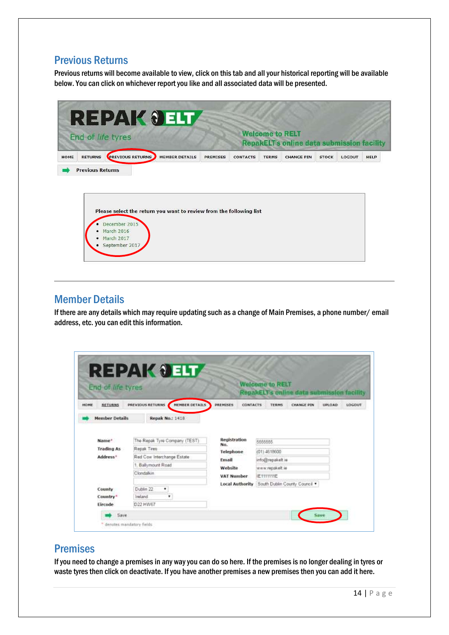## <span id="page-13-0"></span>Previous Returns

Previous returns will become available to view, click on this tab and all your historical reporting will be available below. You can click on whichever report you like and all associated data will be presented.



| December 2015    |  |  |
|------------------|--|--|
| March 2016       |  |  |
| March 2017       |  |  |
| · September 2017 |  |  |

#### <span id="page-13-1"></span>Member Details

If there are any details which may require updating such as a change of Main Premises, a phone number/ email address, etc. you can edit this information.

| End of life tyres<br>HONE<br><b>RETURNS</b> | MEMBER DETAILS<br>PREVIOUS RETURNS               | PREMISES<br><b>CONTACTS</b> | <b>Welcome to RELT</b><br>RepakELT's online data submission facility<br><b>CHANGE PIN</b><br><b>TERMS</b> | LOGOUT<br>UPLOAD |
|---------------------------------------------|--------------------------------------------------|-----------------------------|-----------------------------------------------------------------------------------------------------------|------------------|
| <b>Member Details</b>                       | <b>Repak No.: 1418</b>                           |                             |                                                                                                           |                  |
| Name*                                       | The Repak Tyre Company (TEST)                    | <b>Registration</b><br>No.  | 5555555                                                                                                   |                  |
| <b>Trading As</b>                           | Repak Tires                                      | Telephone                   | (01) 4618600                                                                                              |                  |
| Address <sup>®</sup>                        | Red Cow Interchange Estate<br>1. Ballymount Road | Email                       | info@repakelt.ie                                                                                          |                  |
|                                             | Clondalkin                                       | Website                     | www.repakelt.ie                                                                                           |                  |
|                                             |                                                  | <b>VAT Number</b>           | <b>IE111111E</b>                                                                                          |                  |
|                                             |                                                  | <b>Local Authority</b>      | South Dublin County Council *                                                                             |                  |
| County                                      | Dublin 22<br>٠                                   |                             |                                                                                                           |                  |
| Country*                                    | Ireland<br>۰                                     |                             |                                                                                                           |                  |

## <span id="page-13-2"></span>Premises

If you need to change a premises in any way you can do so here. If the premises is no longer dealing in tyres or waste tyres then click on deactivate. If you have another premises a new premises then you can add it here.